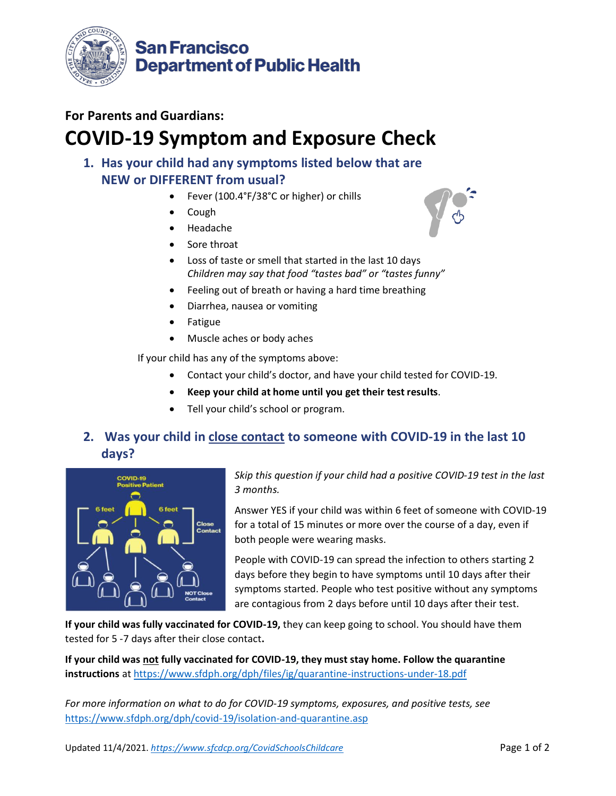

### **For Parents and Guardians:**

# **COVID-19 Symptom and Exposure Check**

### **1. Has your child had any symptoms listed below that are NEW or DIFFERENT from usual?**

- Fever (100.4°F/38°C or higher) or chills
- Cough
- Headache
- Sore throat
- Loss of taste or smell that started in the last 10 days *Children may say that food "tastes bad" or "tastes funny"*
- Feeling out of breath or having a hard time breathing
- Diarrhea, nausea or vomiting
- **Fatigue**
- Muscle aches or body aches

If your child has any of the symptoms above:

- Contact your child's doctor, and have your child tested for COVID-19.
- **Keep your child at home until you get their test results**.
- Tell your child's school or program.

### **2. Was your child in close contact to someone with COVID-19 in the last 10 days?**



*Skip this question if your child had a positive COVID-19 test in the last 3 months.* 

Answer YES if your child was within 6 feet of someone with COVID-19 for a total of 15 minutes or more over the course of a day, even if both people were wearing masks.

People with COVID-19 can spread the infection to others starting 2 days before they begin to have symptoms until 10 days after their symptoms started. People who test positive without any symptoms are contagious from 2 days before until 10 days after their test.

**If your child was fully vaccinated for COVID-19,** they can keep going to school. You should have them tested for 5 -7 days after their close contact**.** 

**If your child was not fully vaccinated for COVID-19, they must stay home. Follow the quarantine instructions** a[t https://www.sfdph.org/dph/files/ig/quarantine-instructions-under-18.pdf](https://www.sfdph.org/dph/files/ig/quarantine-instructions-under-18.pdf)

*For more information on what to do for COVID-19 symptoms, exposures, and positive tests, see*  <https://www.sfdph.org/dph/covid-19/isolation-and-quarantine.asp>